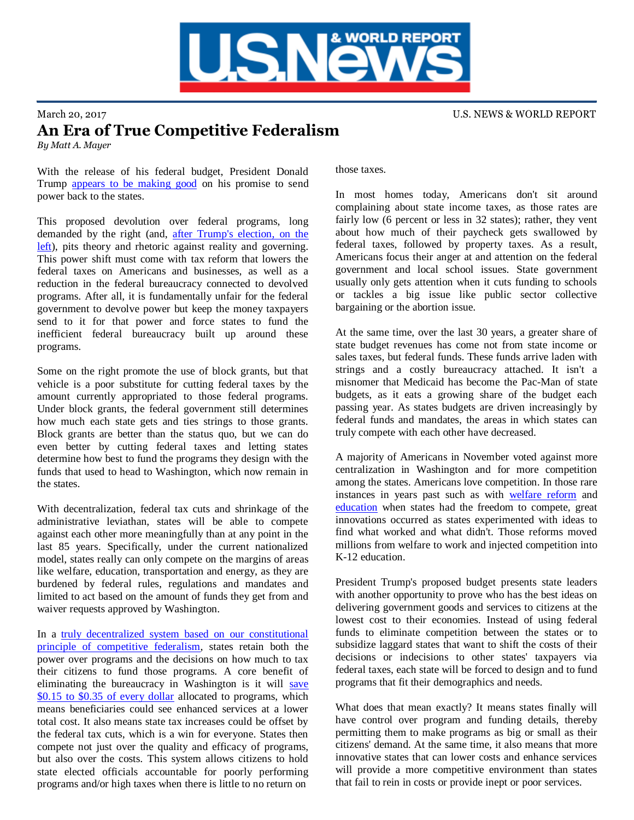

## March 20, 2017 **U.S. NEWS & WORLD REPORT** An Era of True Competitive Federalism *By Matt A. Mayer*

With the release of his federal budget, President Donald Trump [appears to be making good](https://www.washingtonpost.com/politics/in-trumps-blueprint-to-reorder-the-federal-government-echoes-of-reagan-81/2017/03/15/af4b5c44-09bd-11e7-93dc-00f9bdd74ed1_story.html?utm_term=.398db3e43b5e) on his promise to send power back to the states.

This proposed devolution over federal programs, long demanded by the right (and, [after Trump's election, on the](https://www.washingtonpost.com/opinions/liberals-are-learning-to-love-states-rights/2017/03/15/c40044e6-098c-11e7-93dc-00f9bdd74ed1_story.html?utm_term=.f9b2c95db295)  [left\)](https://www.washingtonpost.com/opinions/liberals-are-learning-to-love-states-rights/2017/03/15/c40044e6-098c-11e7-93dc-00f9bdd74ed1_story.html?utm_term=.f9b2c95db295), pits theory and rhetoric against reality and governing. This power shift must come with tax reform that lowers the federal taxes on Americans and businesses, as well as a reduction in the federal bureaucracy connected to devolved programs. After all, it is fundamentally unfair for the federal government to devolve power but keep the money taxpayers send to it for that power and force states to fund the inefficient federal bureaucracy built up around these programs.

Some on the right promote the use of block grants, but that vehicle is a poor substitute for cutting federal taxes by the amount currently appropriated to those federal programs. Under block grants, the federal government still determines how much each state gets and ties strings to those grants. Block grants are better than the status quo, but we can do even better by cutting federal taxes and letting states determine how best to fund the programs they design with the funds that used to head to Washington, which now remain in the states.

With decentralization, federal tax cuts and shrinkage of the administrative leviathan, states will be able to compete against each other more meaningfully than at any point in the last 85 years. Specifically, under the current nationalized model, states really can only compete on the margins of areas like welfare, education, transportation and energy, as they are burdened by federal rules, regulations and mandates and limited to act based on the amount of funds they get from and waiver requests approved by Washington.

In a [truly decentralized system based on our constitutional](http://www.opportunityohio.org/wp-content/uploads/2014/01/Competitive-Federalsim.pdf)  [principle of competitive federalism,](http://www.opportunityohio.org/wp-content/uploads/2014/01/Competitive-Federalsim.pdf) states retain both the power over programs and the decisions on how much to tax their citizens to fund those programs. A core benefit of eliminating the bureaucracy in Washington is it will [save](http://www.opportunityohio.org/wp-content/uploads/2014/01/Competitive-Federalsim.pdf)  [\\$0.15 to \\$0.35 of every dollar](http://www.opportunityohio.org/wp-content/uploads/2014/01/Competitive-Federalsim.pdf) allocated to programs, which means beneficiaries could see enhanced services at a lower total cost. It also means state tax increases could be offset by the federal tax cuts, which is a win for everyone. States then compete not just over the quality and efficacy of programs, but also over the costs. This system allows citizens to hold state elected officials accountable for poorly performing programs and/or high taxes when there is little to no return on

those taxes.

In most homes today, Americans don't sit around complaining about state income taxes, as those rates are fairly low (6 percent or less in 32 states); rather, they vent about how much of their paycheck gets swallowed by federal taxes, followed by property taxes. As a result, Americans focus their anger at and attention on the federal government and local school issues. State government usually only gets attention when it cuts funding to schools or tackles a big issue like public sector collective bargaining or the abortion issue.

At the same time, over the last 30 years, a greater share of state budget revenues has come not from state income or sales taxes, but federal funds. These funds arrive laden with strings and a costly bureaucracy attached. It isn't a misnomer that Medicaid has become the Pac-Man of state budgets, as it eats a growing share of the budget each passing year. As states budgets are driven increasingly by federal funds and mandates, the areas in which states can truly compete with each other have decreased.

A majority of Americans in November voted against more centralization in Washington and for more competition among the states. Americans love competition. In those rare instances in years past such as with [welfare reform](http://www.opportunityohio.org/cf9/) and [education](http://www.opportunityohio.org/competitive-federalism-5/) when states had the freedom to compete, great innovations occurred as states experimented with ideas to find what worked and what didn't. Those reforms moved millions from welfare to work and injected competition into K-12 education.

President Trump's proposed budget presents state leaders with another opportunity to prove who has the best ideas on delivering government goods and services to citizens at the lowest cost to their economies. Instead of using federal funds to eliminate competition between the states or to subsidize laggard states that want to shift the costs of their decisions or indecisions to other states' taxpayers via federal taxes, each state will be forced to design and to fund programs that fit their demographics and needs.

What does that mean exactly? It means states finally will have control over program and funding details, thereby permitting them to make programs as big or small as their citizens' demand. At the same time, it also means that more innovative states that can lower costs and enhance services will provide a more competitive environment than states that fail to rein in costs or provide inept or poor services.